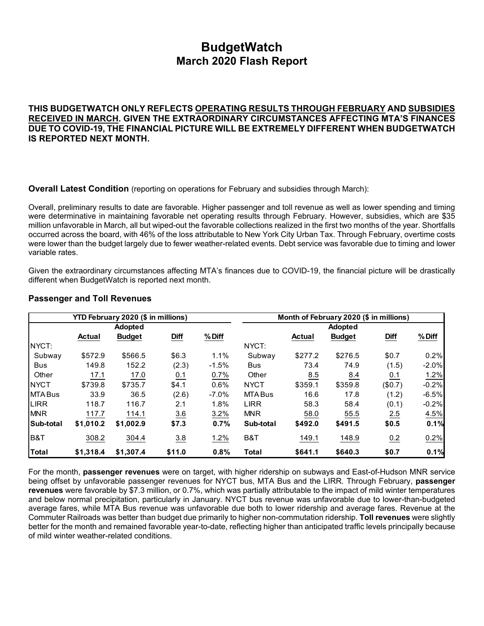# **BudgetWatch March 2020 Flash Report**

**THIS BUDGETWATCH ONLY REFLECTS OPERATING RESULTS THROUGH FEBRUARY AND SUBSIDIES RECEIVED IN MARCH. GIVEN THE EXTRAORDINARY CIRCUMSTANCES AFFECTING MTA'S FINANCES DUE TO COVID-19, THE FINANCIAL PICTURE WILL BE EXTREMELY DIFFERENT WHEN BUDGETWATCH IS REPORTED NEXT MONTH.**

**Overall Latest Condition** (reporting on operations for February and subsidies through March):

Overall, preliminary results to date are favorable. Higher passenger and toll revenue as well as lower spending and timing were determinative in maintaining favorable net operating results through February. However, subsidies, which are \$35 million unfavorable in March, all but wiped-out the favorable collections realized in the first two months of the year. Shortfalls occurred across the board, with 46% of the loss attributable to New York City Urban Tax. Through February, overtime costs were lower than the budget largely due to fewer weather-related events. Debt service was favorable due to timing and lower variable rates.

Given the extraordinary circumstances affecting MTA's finances due to COVID-19, the financial picture will be drastically different when BudgetWatch is reported next month.

|               |               | YTD February 2020 (\$ in millions) |             |         |              |               | Month of February 2020 (\$ in millions) |             |         |
|---------------|---------------|------------------------------------|-------------|---------|--------------|---------------|-----------------------------------------|-------------|---------|
|               |               | <b>Adopted</b>                     |             |         |              |               | Adopted                                 |             |         |
|               | <b>Actual</b> | <b>Budget</b>                      | <b>Diff</b> | % Diff  |              | <b>Actual</b> | <b>Budget</b>                           | <b>Diff</b> | % Diff  |
| NYCT:         |               |                                    |             |         | NYCT:        |               |                                         |             |         |
| Subway        | \$572.9       | \$566.5                            | \$6.3       | 1.1%    | Subway       | \$277.2       | \$276.5                                 | \$0.7       | 0.2%    |
| <b>Bus</b>    | 149.8         | 152.2                              | (2.3)       | $-1.5%$ | <b>Bus</b>   | 73.4          | 74.9                                    | (1.5)       | $-2.0%$ |
| Other         | 17.1          | 17.0                               | 0.1         | 0.7%    | Other        | 8.5           | 8.4                                     | 0.1         | 1.2%    |
| <b>INYCT</b>  | \$739.8       | \$735.7                            | \$4.1       | 0.6%    | <b>NYCT</b>  | \$359.1       | \$359.8                                 | (\$0.7)     | $-0.2%$ |
| <b>MTABus</b> | 33.9          | 36.5                               | (2.6)       | $-7.0%$ | MTA Bus      | 16.6          | 17.8                                    | (1.2)       | $-6.5%$ |
| <b>LIRR</b>   | 118.7         | 116.7                              | 2.1         | 1.8%    | <b>LIRR</b>  | 58.3          | 58.4                                    | (0.1)       | $-0.2%$ |
| <b>MNR</b>    | 117.7         | 114.1                              | 3.6         | 3.2%    | <b>MNR</b>   | 58.0          | 55.5                                    | 2.5         | 4.5%    |
| Sub-total     | \$1,010.2     | \$1,002.9                          | \$7.3       | 0.7%    | Sub-total    | \$492.0       | \$491.5                                 | \$0.5       | 0.1%    |
| B&T           | 308.2         | 304.4                              | 3.8         | 1.2%    | B&T          | 149.1         | 148.9                                   | 0.2         | 0.2%    |
| <b>Total</b>  | \$1,318.4     | \$1,307.4                          | \$11.0      | 0.8%    | <b>Total</b> | \$641.1       | \$640.3                                 | \$0.7       | 0.1%    |

### **Passenger and Toll Revenues**

For the month, **passenger revenues** were on target, with higher ridership on subways and East-of-Hudson MNR service being offset by unfavorable passenger revenues for NYCT bus, MTA Bus and the LIRR. Through February, **passenger revenues** were favorable by \$7.3 million, or 0.7%, which was partially attributable to the impact of mild winter temperatures and below normal precipitation, particularly in January. NYCT bus revenue was unfavorable due to lower-than-budgeted average fares, while MTA Bus revenue was unfavorable due both to lower ridership and average fares. Revenue at the Commuter Railroads was better than budget due primarily to higher non-commutation ridership. **Toll revenues** were slightly better for the month and remained favorable year-to-date, reflecting higher than anticipated traffic levels principally because of mild winter weather-related conditions.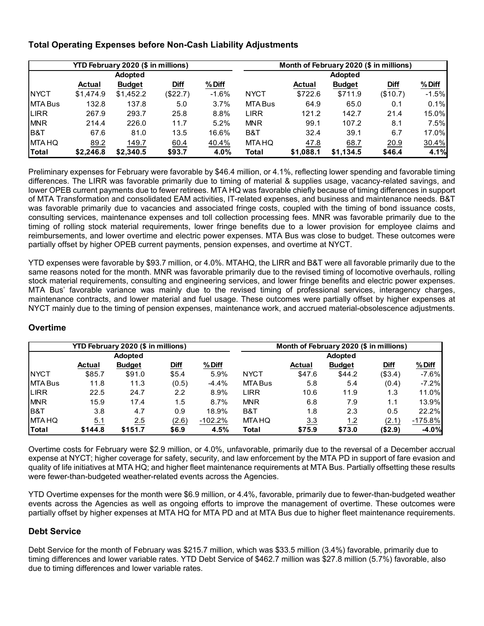## **Total Operating Expenses before Non-Cash Liability Adjustments**

|                |           | YTD February 2020 (\$ in millions) |          |         | Month of February 2020 (\$ in millions) |               |                |             |         |  |  |
|----------------|-----------|------------------------------------|----------|---------|-----------------------------------------|---------------|----------------|-------------|---------|--|--|
|                |           | <b>Adopted</b>                     |          |         |                                         |               | <b>Adopted</b> |             |         |  |  |
|                | Actual    | <b>Budget</b>                      | Diff     | % Diff  |                                         | <b>Actual</b> | <b>Budget</b>  | <b>Diff</b> | % Diff  |  |  |
| <b>INYCT</b>   | \$1,474.9 | \$1,452.2                          | (\$22.7) | $-1.6%$ | <b>NYCT</b>                             | \$722.6       | \$711.9        | (\$10.7)    | $-1.5%$ |  |  |
| <b>MTA Bus</b> | 132.8     | 137.8                              | 5.0      | 3.7%    | MTA Bus                                 | 64.9          | 65.0           | 0.1         | 0.1%    |  |  |
| <b>LIRR</b>    | 267.9     | 293.7                              | 25.8     | 8.8%    | <b>LIRR</b>                             | 121.2         | 142.7          | 21.4        | 15.0%   |  |  |
| <b>MNR</b>     | 214.4     | 226.0                              | 11.7     | 5.2%    | <b>MNR</b>                              | 99.1          | 107.2          | 8.1         | 7.5%    |  |  |
| IB&T           | 67.6      | 81.0                               | 13.5     | 16.6%   | B&T                                     | 32.4          | 39.1           | 6.7         | 17.0%   |  |  |
| <b>MTA HQ</b>  | 89.2      | 149.7                              | 60.4     | 40.4%   | <b>MTA HQ</b>                           | 47.8          | 68.7           | 20.9        | 30.4%   |  |  |
| Total          | \$2.246.8 | \$2.340.5                          | \$93.7   | 4.0%    | Total                                   | \$1.088.1     | \$1.134.5      | \$46.4      | 4.1%    |  |  |

Preliminary expenses for February were favorable by \$46.4 million, or 4.1%, reflecting lower spending and favorable timing differences. The LIRR was favorable primarily due to timing of material & supplies usage, vacancy-related savings, and lower OPEB current payments due to fewer retirees. MTA HQ was favorable chiefly because of timing differences in support of MTA Transformation and consolidated EAM activities, IT-related expenses, and business and maintenance needs. B&T was favorable primarily due to vacancies and associated fringe costs, coupled with the timing of bond issuance costs, consulting services, maintenance expenses and toll collection processing fees. MNR was favorable primarily due to the timing of rolling stock material requirements, lower fringe benefits due to a lower provision for employee claims and reimbursements, and lower overtime and electric power expenses. MTA Bus was close to budget. These outcomes were partially offset by higher OPEB current payments, pension expenses, and overtime at NYCT.

YTD expenses were favorable by \$93.7 million, or 4.0%. MTAHQ, the LIRR and B&T were all favorable primarily due to the same reasons noted for the month. MNR was favorable primarily due to the revised timing of locomotive overhauls, rolling stock material requirements, consulting and engineering services, and lower fringe benefits and electric power expenses. MTA Bus' favorable variance was mainly due to the revised timing of professional services, interagency charges, maintenance contracts, and lower material and fuel usage. These outcomes were partially offset by higher expenses at NYCT mainly due to the timing of pension expenses, maintenance work, and accrued material-obsolescence adjustments.

|                |               | <b>YTD February 2020 (\$ in millions)</b> |               |           | Month of February 2020 (\$ in millions) |               |                |             |           |  |  |  |
|----------------|---------------|-------------------------------------------|---------------|-----------|-----------------------------------------|---------------|----------------|-------------|-----------|--|--|--|
|                |               | <b>Adopted</b>                            |               |           |                                         |               | <b>Adopted</b> |             |           |  |  |  |
|                | <b>Actual</b> | <b>Budget</b>                             | Diff          | % Diff    |                                         | <b>Actual</b> | <b>Budget</b>  | <b>Diff</b> | $%$ Diff  |  |  |  |
| <b>NYCT</b>    | \$85.7        | \$91.0                                    | \$5.4         | 5.9%      | <b>NYCT</b>                             | \$47.6        | \$44.2         | (\$3.4)     | $-7.6%$   |  |  |  |
| MTA Bus        | 11.8          | 11.3                                      | (0.5)         | $-4.4%$   | MTA Bus                                 | 5.8           | 5.4            | (0.4)       | $-7.2%$   |  |  |  |
| <b>LIRR</b>    | 22.5          | 24.7                                      | $2.2^{\circ}$ | 8.9%      | LIRR                                    | 10.6          | 11.9           | 1.3         | 11.0%     |  |  |  |
| <b>MNR</b>     | 15.9          | 17.4                                      | 1.5           | 8.7%      | <b>MNR</b>                              | 6.8           | 7.9            | 1.1         | 13.9%     |  |  |  |
| <b>B&amp;T</b> | 3.8           | 4.7                                       | 0.9           | 18.9%     | B&T                                     | 1.8           | 2.3            | 0.5         | 22.2%     |  |  |  |
| <b>MTAHQ</b>   | 5.1           | 2.5                                       | (2.6)         | $-102.2%$ | MTA HQ                                  | 3.3           | $1.2$          | (2.1)       | $-175.8%$ |  |  |  |
| Total          | \$144.8       | \$151.7                                   | \$6.9         | 4.5%      | Total                                   | \$75.9        | \$73.0         | (\$2.9)     | $-4.0%$   |  |  |  |

## **Overtime**

Overtime costs for February were \$2.9 million, or 4.0%, unfavorable, primarily due to the reversal of a December accrual expense at NYCT; higher coverage for safety, security, and law enforcement by the MTA PD in support of fare evasion and quality of life initiatives at MTA HQ; and higher fleet maintenance requirements at MTA Bus. Partially offsetting these results were fewer-than-budgeted weather-related events across the Agencies.

YTD Overtime expenses for the month were \$6.9 million, or 4.4%, favorable, primarily due to fewer-than-budgeted weather events across the Agencies as well as ongoing efforts to improve the management of overtime. These outcomes were partially offset by higher expenses at MTA HQ for MTA PD and at MTA Bus due to higher fleet maintenance requirements.

## **Debt Service**

Debt Service for the month of February was \$215.7 million, which was \$33.5 million (3.4%) favorable, primarily due to timing differences and lower variable rates. YTD Debt Service of \$462.7 million was \$27.8 million (5.7%) favorable, also due to timing differences and lower variable rates.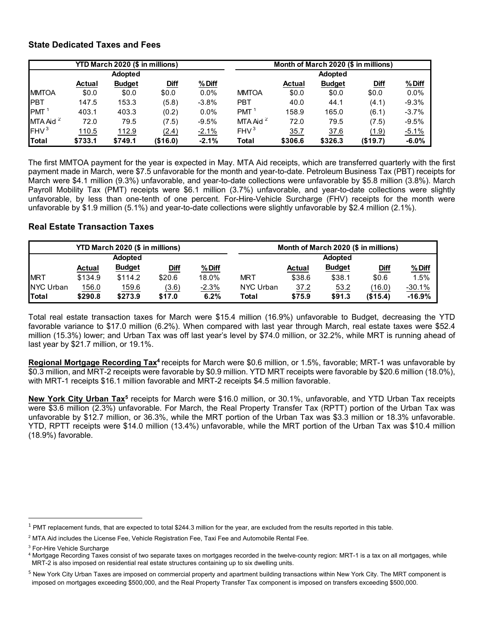## **State Dedicated Taxes and Fees**

|                      |               | YTD March 2020 (\$ in millions) |             |          | Month of March 2020 (\$ in millions) |               |                |             |         |  |  |  |
|----------------------|---------------|---------------------------------|-------------|----------|--------------------------------------|---------------|----------------|-------------|---------|--|--|--|
|                      |               | <b>Adopted</b>                  |             |          |                                      |               | <b>Adopted</b> |             |         |  |  |  |
|                      | <b>Actual</b> | <b>Budget</b>                   | <b>Diff</b> | % Diff   |                                      | <b>Actual</b> | <b>Budget</b>  | <b>Diff</b> | %Diff   |  |  |  |
| <b>MMTOA</b>         | \$0.0         | \$0.0                           | \$0.0       | $0.0\%$  | <b>MMTOA</b>                         | \$0.0         | \$0.0          | \$0.0       | $0.0\%$ |  |  |  |
| <b>IPBT</b>          | 147.5         | 153.3                           | (5.8)       | $-3.8\%$ | <b>PBT</b>                           | 40.0          | 44.1           | (4.1)       | $-9.3%$ |  |  |  |
| <b>PMT</b>           | 403.1         | 403.3                           | (0.2)       | $0.0\%$  | PMT <sup>1</sup>                     | 158.9         | 165.0          | (6.1)       | $-3.7%$ |  |  |  |
| MTA Aid <sup>2</sup> | 72.0          | 79.5                            | (7.5)       | $-9.5%$  | MTA Aid $2$                          | 72.0          | 79.5           | (7.5)       | $-9.5%$ |  |  |  |
| FHV <sup>3</sup>     | 110.5         | 112.9                           | (2.4)       | $-2.1%$  | FHV <sup>3</sup>                     | 35.7          | 37.6           | (1.9)       | $-5.1%$ |  |  |  |
| Total                | \$733.1       | \$749.1                         | (\$16.0)    | $-2.1%$  | <b>Total</b>                         | \$306.6       | \$326.3        | (\$19.7)    | $-6.0%$ |  |  |  |

The first MMTOA payment for the year is expected in May. MTA Aid receipts, which are transferred quarterly with the first payment made in March, were \$7.5 unfavorable for the month and year-to-date. Petroleum Business Tax (PBT) receipts for March were \$4.1 million (9.3%) unfavorable, and year-to-date collections were unfavorable by \$5.8 million (3.8%). March Payroll Mobility Tax (PMT) receipts were \$6.1 million (3.7%) unfavorable, and year-to-date collections were slightly unfavorable, by less than one-tenth of one percent. For-Hire-Vehicle Surcharge (FHV) receipts for the month were unfavorable by \$1.9 million (5.1%) and year-to-date collections were slightly unfavorable by \$2.4 million (2.1%).

## **Real Estate Transaction Taxes**

|                  |               | YTD March 2020 (\$ in millions) |             |          |            |               | Month of March 2020 (\$ in millions) |             |          |
|------------------|---------------|---------------------------------|-------------|----------|------------|---------------|--------------------------------------|-------------|----------|
|                  |               | <b>Adopted</b>                  |             |          |            |               | <b>Adopted</b>                       |             |          |
|                  | <b>Actual</b> | <b>Budget</b>                   | <u>Diff</u> | $%$ Diff |            | <b>Actual</b> | <b>Budget</b>                        | <u>Diff</u> | %Diff    |
| <b>MRT</b>       | \$134.9       | \$114.2                         | \$20.6      | 18.0%    | <b>MRT</b> | \$38.6        | \$38.1                               | \$0.6       | 1.5%     |
| <b>NYC Urban</b> | 156.0         | 159.6                           | (3.6)       | $-2.3%$  | NYC Urban  | 37.2          | 53.2                                 | (16.0)      | $-30.1%$ |
| <b>ITotal</b>    | \$290.8       | \$273.9                         | \$17.0      | 6.2%     | Total      | \$75.9        | \$91.3                               | (\$15.4)    | $-16.9%$ |

Total real estate transaction taxes for March were \$15.4 million (16.9%) unfavorable to Budget, decreasing the YTD favorable variance to \$17.0 million (6.2%). When compared with last year through March, real estate taxes were \$52.4 million (15.3%) lower; and Urban Tax was off last year's level by \$74.0 million, or 32.2%, while MRT is running ahead of last year by \$21.7 million, or 19.1%.

**Regional Mortgage Recording Tax4** receipts for March were \$0.6 million, or 1.5%, favorable; MRT-1 was unfavorable by \$0.3 million, and MRT-2 receipts were favorable by \$0.9 million. YTD MRT receipts were favorable by \$20.6 million (18.0%), with MRT-1 receipts \$16.1 million favorable and MRT-2 receipts \$4.5 million favorable.

**New York City Urban Tax5** receipts for March were \$16.0 million, or 30.1%, unfavorable, and YTD Urban Tax receipts were \$3.6 million (2.3%) unfavorable. For March, the Real Property Transfer Tax (RPTT) portion of the Urban Tax was unfavorable by \$12.7 million, or 36.3%, while the MRT portion of the Urban Tax was \$3.3 million or 18.3% unfavorable. YTD, RPTT receipts were \$14.0 million (13.4%) unfavorable, while the MRT portion of the Urban Tax was \$10.4 million (18.9%) favorable.

 $1$  PMT replacement funds, that are expected to total \$244.3 million for the year, are excluded from the results reported in this table.

 $^2$  MTA Aid includes the License Fee, Vehicle Registration Fee, Taxi Fee and Automobile Rental Fee.  $\,$ 

<sup>&</sup>lt;sup>3</sup> For-Hire Vehicle Surcharge

<sup>4</sup> Mortgage Recording Taxes consist of two separate taxes on mortgages recorded in the twelve-county region: MRT-1 is a tax on all mortgages, while MRT-2 is also imposed on residential real estate structures containing up to six dwelling units.

<sup>&</sup>lt;sup>5</sup> New York City Urban Taxes are imposed on commercial property and apartment building transactions within New York City. The MRT component is imposed on mortgages exceeding \$500,000, and the Real Property Transfer Tax component is imposed on transfers exceeding \$500,000.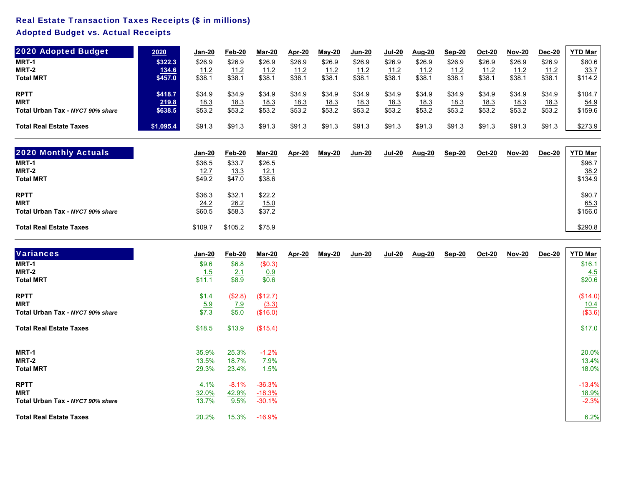## Real Estate Transaction Taxes Receipts (\$ in millions)

## Adopted Budget vs. Actual Receipts

| 2020 Adopted Budget              | 2020      | <u>Jan-20</u> | Feb-20       | Mar-20       | Apr-20       | $May-20$     | <u>Jun-20</u> | Jul-20       | <b>Aug-20</b> | Sep-20 | Oct-20 | <b>Nov-20</b> | Dec-20       | YTD Mar     |
|----------------------------------|-----------|---------------|--------------|--------------|--------------|--------------|---------------|--------------|---------------|--------|--------|---------------|--------------|-------------|
| MRT-1                            | \$322.3   | \$26.9        | \$26.9       | \$26.9       | \$26.9       | \$26.9       | \$26.9        | \$26.9       | \$26.9        | \$26.9 | \$26.9 | \$26.9        | \$26.9       | \$80.6      |
| MRT-2                            | 134.6     | 11.2          | 11.2         | 11.2         | 11.2         | 11.2         | 11.2          | 11.2         | 11.2          | 11.2   | 11.2   | 11.2          | <u> 11.2</u> | <u>33.7</u> |
| <b>Total MRT</b>                 | \$457.0   | \$38.7        | \$38.1       | \$38.1       | \$38.1       | \$38.1       | \$38.1        | \$38.1       | \$38.1        | \$38.1 | \$38.1 | \$38.1        | \$38.1       | \$114.2     |
| <b>RPTT</b>                      | \$418.7   | \$34.9        | \$34.9       | \$34.9       | \$34.9       | \$34.9       | \$34.9        | \$34.9       | \$34.9        | \$34.9 | \$34.9 | \$34.9        | \$34.9       | \$104.7     |
| <b>MRT</b>                       | 219.8     | <u>18.3</u>   | <u> 18.3</u> | <u> 18.3</u> | <u> 18.3</u> | <u> 18.3</u> | <u> 18.3</u>  | <u> 18.3</u> | <u> 18.3</u>  | 18.3   | 18.3   | 18.3          | 18.3         | <u>54.9</u> |
| Total Urban Tax - NYCT 90% share | \$638.5   | \$53.2        | \$53.2       | \$53.2       | \$53.2       | \$53.2       | \$53.2        | \$53.2       | \$53.2        | \$53.2 | \$53.2 | \$53.2        | \$53.2       | \$159.6     |
| <b>Total Real Estate Taxes</b>   | \$1,095.4 | \$91.3        | \$91.3       | \$91.3       | \$91.3       | \$91.3       | \$91.3        | \$91.3       | \$91.3        | \$91.3 | \$91.3 | \$91.3        | \$91.3       | \$273.9     |

| <b>2020 Monthly Actuals</b>      | Jan-20  | Feb-20  | Mar-20      | Apr-20 | $M$ ay-20 | <u>Jun-20</u> | <u>Jul-20</u> | <b>Aug-20</b> | <b>Sep-20</b> | Oct-20 | <b>Nov-20</b> | Dec-20 | <b>YTD Mar</b> |
|----------------------------------|---------|---------|-------------|--------|-----------|---------------|---------------|---------------|---------------|--------|---------------|--------|----------------|
| MRT-1                            | \$36.5  | \$33.7  | \$26.5      |        |           |               |               |               |               |        |               |        | \$96.7         |
| MRT-2                            | 12.7    | 13.3    | <u>12.1</u> |        |           |               |               |               |               |        |               |        | 38.2           |
| <b>Total MRT</b>                 | \$49.2  | \$47.0  | \$38.6      |        |           |               |               |               |               |        |               |        | \$134.9        |
| <b>RPTT</b>                      | \$36.3  | \$32.7  | \$22.2      |        |           |               |               |               |               |        |               |        | \$90.7         |
| <b>MRT</b>                       | 24.2    | 26.2    | <u>15.0</u> |        |           |               |               |               |               |        |               |        | <u>65.3</u>    |
| Total Urban Tax - NYCT 90% share | \$60.5  | \$58.3  | \$37.2      |        |           |               |               |               |               |        |               |        | \$156.0        |
| <b>Total Real Estate Taxes</b>   | \$109.7 | \$105.2 | \$75.9      |        |           |               |               |               |               |        |               |        | \$290.8        |

| <b>Variances</b>                 | Jan-20     | Feb-20       | <u>Mar-20</u> | <u>Apr-20</u> | <u>May-20</u> | <u>Jun-20</u> | <u>Jul-20</u> | <u>Aug-20</u> | Sep-20 | Oct-20 | <u>Nov-20</u> | Dec-20 | <b>YTD Mar</b> |
|----------------------------------|------------|--------------|---------------|---------------|---------------|---------------|---------------|---------------|--------|--------|---------------|--------|----------------|
| MRT-1                            | \$9.6      | \$6.8        | (\$0.3)       |               |               |               |               |               |        |        |               |        | \$16.1         |
| MRT-2                            | 1.5        | 2.1          | 0.9           |               |               |               |               |               |        |        |               |        | 4.5            |
| <b>Total MRT</b>                 | \$11.1     | \$8.9        | \$0.6         |               |               |               |               |               |        |        |               |        | \$20.6         |
| <b>RPTT</b>                      | \$1.4      | (\$2.8)      | (\$12.7)      |               |               |               |               |               |        |        |               |        | (\$14.0)       |
| <b>MRT</b>                       | <u>5.9</u> | <u>7.9</u>   | (3.3)         |               |               |               |               |               |        |        |               |        | 10.4           |
| Total Urban Tax - NYCT 90% share | \$7.3      | \$5.0        | (\$16.0)      |               |               |               |               |               |        |        |               |        | (\$3.6)        |
| <b>Total Real Estate Taxes</b>   | \$18.5     | \$13.9       | (\$15.4)      |               |               |               |               |               |        |        |               |        | \$17.0         |
| MRT-1                            | 35.9%      | 25.3%        | $-1.2%$       |               |               |               |               |               |        |        |               |        | 20.0%          |
| MRT-2                            | 13.5%      | <u>18.7%</u> | <u>7.9%</u>   |               |               |               |               |               |        |        |               |        | <u>13.4%</u>   |
| <b>Total MRT</b>                 | 29.3%      | 23.4%        | 1.5%          |               |               |               |               |               |        |        |               |        | 18.0%          |
| <b>RPTT</b>                      | 4.1%       | $-8.1%$      | $-36.3%$      |               |               |               |               |               |        |        |               |        | $-13.4%$       |
| <b>MRT</b>                       | 32.0%      | 42.9%        | $-18.3%$      |               |               |               |               |               |        |        |               |        | 18.9%          |
| Total Urban Tax - NYCT 90% share | 13.7%      | 9.5%         | $-30.1%$      |               |               |               |               |               |        |        |               |        | $-2.3%$        |
| <b>Total Real Estate Taxes</b>   | 20.2%      | 15.3%        | $-16.9%$      |               |               |               |               |               |        |        |               |        | 6.2%           |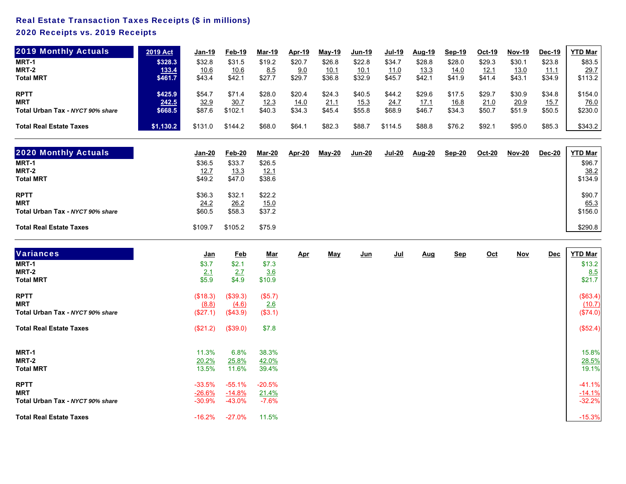## Real Estate Transaction Taxes Receipts (\$ in millions)

## 2020 Receipts vs. 2019 Receipts

| <b>2019 Monthly Actuals</b>      | <b>2019 Act</b> | <u>Jan-19</u> | Feb-19       | Mar-19 | Apr-19       | $May-19$     | <u>Jun-19</u> | <b>Jul-19</b> | Aug-19       | Sep-19      | Oct-19       | <b>Nov-19</b> | Dec-19       | <b>YTD Mar</b> |
|----------------------------------|-----------------|---------------|--------------|--------|--------------|--------------|---------------|---------------|--------------|-------------|--------------|---------------|--------------|----------------|
| MRT-1                            | \$328.3         | \$32.8        | \$31.5       | \$19.2 | \$20.7       | \$26.8       | \$22.8        | \$34.7        | \$28.8       | \$28.0      | \$29.3       | \$30.1        | \$23.8       | \$83.5         |
| MRT-2                            | 133.4           | <u> 10.6</u>  | <u> 10.6</u> | 8.5    | 9.0          | <u> 10.1</u> | <u> 10.1</u>  | <u> 11.0</u>  | <u> 13.3</u> | <u>14.0</u> | <u> 12.1</u> | <u> 13.0</u>  | <u> 11.1</u> | <u>29.7</u>    |
| <b>Total MRT</b>                 | \$461.7         | \$43.4        | \$42.1       | \$27.7 | \$29.7       | \$36.8       | \$32.9        | \$45.7        | \$42.1       | \$41.9      | \$41.4       | \$43.1        | \$34.9       | \$113.2        |
| <b>RPTT</b>                      | \$425.9         | \$54.7        | \$71.4       | \$28.0 | \$20.4       | \$24.3       | \$40.5        | \$44.2        | \$29.6       | \$17.5      | \$29.7       | \$30.9        | \$34.8       | \$154.0        |
| <b>MRT</b>                       | 242.5           | 32.9          | 30.7         | 12.3   | <u> 14.0</u> | <u>21.1</u>  | <u>15.3</u>   | 24.7          | <u> 17.1</u> | <u>16.8</u> | <u>21.0</u>  | 20.9          | <u> 15.7</u> | <u>76.0</u>    |
| Total Urban Tax - NYCT 90% share | \$668.5         | \$87.6        | \$102.1      | \$40.3 | \$34.3       | \$45.4       | \$55.8        | \$68.9        | \$46.7       | \$34.3      | \$50.7       | \$51.9        | \$50.5       | \$230.0        |
| <b>Total Real Estate Taxes</b>   | \$1,130.2       | \$131.0       | \$144.2      | \$68.0 | \$64.7       | \$82.3       | \$88.7        | \$114.5       | \$88.8       | \$76.2      | \$92.1       | \$95.0        | \$85.3       | \$343.2        |

| <b>2020 Monthly Actuals</b>                                   | <u>Jan-20</u>            | Feb-20                          | Mar-20                   | Apr-20 | $May-20$ | Jun-20 | Jul-20 | <b>Aug-20</b> | Sep-20 | Oct-20 | <b>Nov-20</b> | <u>Dec-20</u> | <b>YTD Mar</b>                   |
|---------------------------------------------------------------|--------------------------|---------------------------------|--------------------------|--------|----------|--------|--------|---------------|--------|--------|---------------|---------------|----------------------------------|
| MRT-1                                                         | \$36.5                   | \$33.7                          | \$26.5                   |        |          |        |        |               |        |        |               |               | \$96.7                           |
| MRT-2                                                         | <u>12.7</u>              | <u>13.3</u>                     | <u>12.1</u>              |        |          |        |        |               |        |        |               |               | <u>38.2</u>                      |
| <b>Total MRT</b>                                              | \$49.2                   | \$47.0                          | \$38.6                   |        |          |        |        |               |        |        |               |               | \$134.9                          |
| <b>RPTT</b><br><b>MRT</b><br>Total Urban Tax - NYCT 90% share | \$36.3<br>24.2<br>\$60.5 | \$32.1<br><u>26.2</u><br>\$58.3 | \$22.2<br>15.0<br>\$37.2 |        |          |        |        |               |        |        |               |               | \$90.7<br><u>65.3</u><br>\$156.0 |
| <b>Total Real Estate Taxes</b>                                | \$109.7                  | \$105.2                         | \$75.9                   |        |          |        |        |               |        |        |               |               | \$290.8                          |

| <b>Variances</b>                 | <u>Jan</u> | <b>Feb</b> | <u>Mar</u>   | <u>Apr</u> | <u>May</u> | <u>Jun</u> | $Jul$ | <u>Aug</u> | <b>Sep</b> | $Oct$ | <u>Nov</u> | Dec | <b>YTD Mar</b> |
|----------------------------------|------------|------------|--------------|------------|------------|------------|-------|------------|------------|-------|------------|-----|----------------|
| MRT-1                            | \$3.7      | \$2.1      | \$7.3        |            |            |            |       |            |            |       |            |     | \$13.2         |
| MRT-2                            | 2.1        | 2.7        | 3.6          |            |            |            |       |            |            |       |            |     | 8.5            |
| <b>Total MRT</b>                 | \$5.9      | \$4.9      | \$10.9       |            |            |            |       |            |            |       |            |     | \$21.7         |
| <b>RPTT</b>                      | (\$18.3)   | (\$39.3)   | (\$5.7)      |            |            |            |       |            |            |       |            |     | (\$63.4)       |
| <b>MRT</b>                       | (8.8)      | (4.6)      | 2.6          |            |            |            |       |            |            |       |            |     | (10.7)         |
| Total Urban Tax - NYCT 90% share | (\$27.1)   | (\$43.9)   | (\$3.1)      |            |            |            |       |            |            |       |            |     | (\$74.0)       |
| <b>Total Real Estate Taxes</b>   | (\$21.2)   | (\$39.0)   | \$7.8        |            |            |            |       |            |            |       |            |     | (\$52.4)       |
| MRT-1                            | 11.3%      | 6.8%       | 38.3%        |            |            |            |       |            |            |       |            |     | 15.8%          |
| MRT-2                            | 20.2%      | 25.8%      | <u>42.0%</u> |            |            |            |       |            |            |       |            |     | 28.5%          |
| <b>Total MRT</b>                 | 13.5%      | 11.6%      | 39.4%        |            |            |            |       |            |            |       |            |     | 19.1%          |
| <b>RPTT</b>                      | $-33.5%$   | $-55.1%$   | $-20.5%$     |            |            |            |       |            |            |       |            |     | $-41.1%$       |
| <b>MRT</b>                       | $-26.6%$   | $-14.8%$   | 21.4%        |            |            |            |       |            |            |       |            |     | $-14.1%$       |
| Total Urban Tax - NYCT 90% share | $-30.9%$   | $-43.0%$   | $-7.6%$      |            |            |            |       |            |            |       |            |     | $-32.2%$       |
| <b>Total Real Estate Taxes</b>   | $-16.2%$   | $-27.0\%$  | 11.5%        |            |            |            |       |            |            |       |            |     | $-15.3%$       |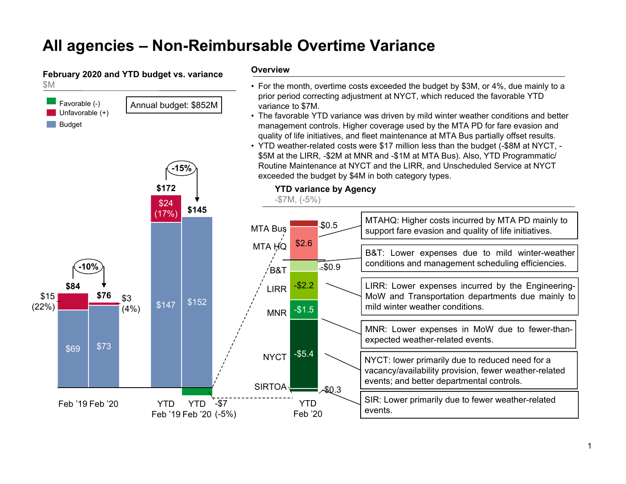# **All agencies – Non-Reimbursable Overtime Variance**

#### **February 2020 and YTD budget vs. variance** \$M

Favorable (-)

Unfavorable (+)

**Budget** 

**-15%**

Annual budget: \$852M

#### **Overview**

- For the month, overtime costs exceeded the budget by \$3M, or 4%, due mainly to a prior period correcting adjustment at NYCT, which reduced the favorable YTD variance to \$7M.
- The favorable YTD variance was driven by mild winter weather conditions and better management controls. Higher coverage used by the MTA PD for fare evasion and quality of life initiatives, and fleet maintenance at MTA Bus partially offset results.
- YTD weather-related costs were \$17 million less than the budget (-\$8M at NYCT, \$5M at the LIRR, -\$2M at MNR and -\$1M at MTA Bus). Also, YTD Programmatic/ Routine Maintenance at NYCT and the LIRR, and Unscheduled Service at NYCT exceeded the budget by \$4M in both category types.

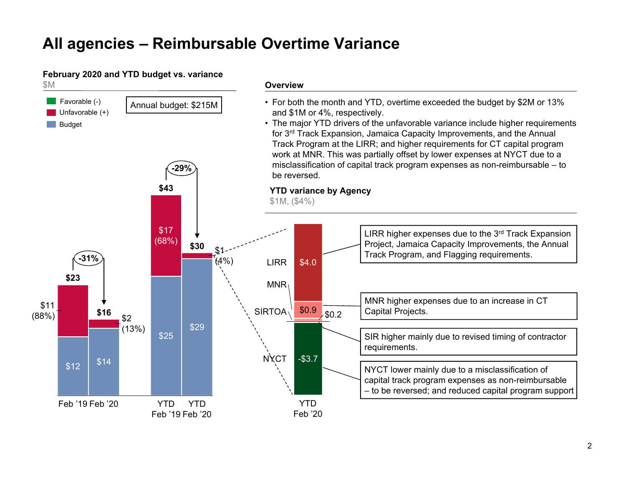# **All agencies – Reimbursable Overtime Variance**

## **February 2020 and YTD budget vs. variance**

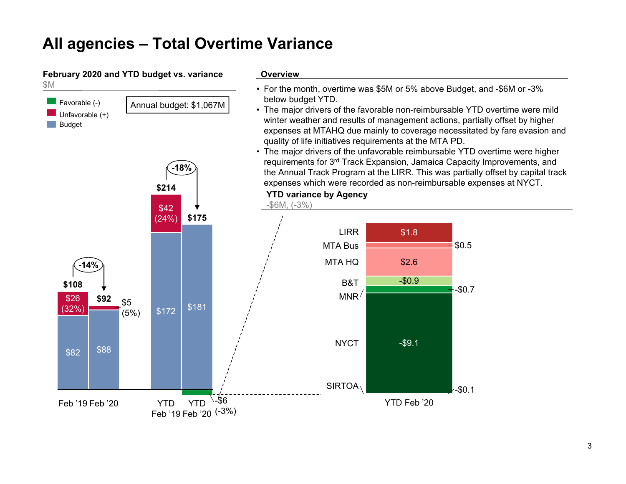# **All agencies – Total Overtime Variance**

**\$214**

**-18%**

Annual budget: \$1,067M

#### **February 2020 and YTD budget vs. variance** \$M

Favorable (-) Unfavorable (+)

Budget

**Contract** 

#### **Overview**

- For the month, overtime was \$5M or 5% above Budget, and -\$6M or -3% below budget YTD.
- The major drivers of the favorable non-reimbursable YTD overtime were mild winter weather and results of management actions, partially offset by higher expenses at MTAHQ due mainly to coverage necessitated by fare evasion and quality of life initiatives requirements at the MTA PD.
- The major drivers of the unfavorable reimbursable YTD overtime were higher requirements for 3rd Track Expansion, Jamaica Capacity Improvements, and the Annual Track Program at the LIRR. This was partially offset by capital track expenses which were recorded as non-reimbursable expenses at NYCT.

**YTD variance by Agency**

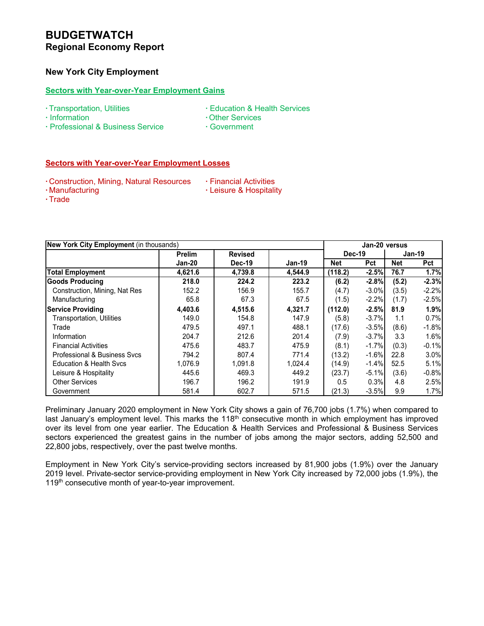## **New York City Employment**

#### **Sectors with Year-over-Year Employment Gains**

- **∙** Transportation, Utilities **∙** Education & Health Services
- **∙** Information **∙** Other Services
- -
- **∙** Professional & Business Service **∙** Government
- 

#### **Sectors with Year-over-Year Employment Losses**

- **∙** Construction, Mining, Natural Resources **∙** Financial Activities
	-
- **∙** Trade
- **∙** Manufacturing **∙** Leisure & Hospitality
- **New York City Employment** (in thousands) **Jan-20 versus Prelim Revised Jan-20 Dec-19 Jan-19 Net Pct Net Pct Total Employment 4,621.6 4,739.8 4,544.9 (118.2) -2.5% 76.7 1.7% Goods Producing 218.0 224.2 223.2 (6.2) -2.8% (5.2) -2.3%** Construction, Mining, Nat Res 152.2 156.9 155.7 (4.7) -3.0% (3.5) -2.2% Manufacturing **1** 65.8 67.3 67.5 (1.5) -2.2% (1.7) -2.5% **Service Providing 4,403.6 4,515.6 4,321.7 (112.0) -2.5% 81.9 1.9%** Transportation, Utilities 149.0 154.8 147.9 (5.8) -3.7% 1.1 0.7% Trade 479.5 497.1 488.1 (17.6) -3.5% (8.6) -1.8% Information 204.7 212.6 201.4 (7.9) -3.7% 3.3 1.6% Financial Activities 475.6 483.7 475.9 (8.1) -1.7% (0.3) -0.1% Professional & Business Svcs | 794.2 | 807.4 | 771.4 | (13.2) -1.6% 22.8 3.0% Education & Health Svcs 1,076.9 1,091.8 1,024.4 (14.9) -1.4% 52.5 5.1% Leisure & Hospitality 445.6 469.3 449.2 (23.7) -5.1% (3.6) -0.8% Other Services | 196.7 | 196.2 | 191.9 | 0.5 0.3% | 4.8 2.5% Government 581.4 602.7 571.5 (21.3) -3.5% 9.9 1.7% **Dec-19 Jan-19**

Preliminary January 2020 employment in New York City shows a gain of 76,700 jobs (1.7%) when compared to last January's employment level. This marks the 118<sup>th</sup> consecutive month in which employment has improved over its level from one year earlier. The Education & Health Services and Professional & Business Services sectors experienced the greatest gains in the number of jobs among the major sectors, adding 52,500 and 22,800 jobs, respectively, over the past twelve months.

Employment in New York City's service-providing sectors increased by 81,900 jobs (1.9%) over the January 2019 level. Private-sector service-providing employment in New York City increased by 72,000 jobs (1.9%), the 119<sup>th</sup> consecutive month of year-to-year improvement.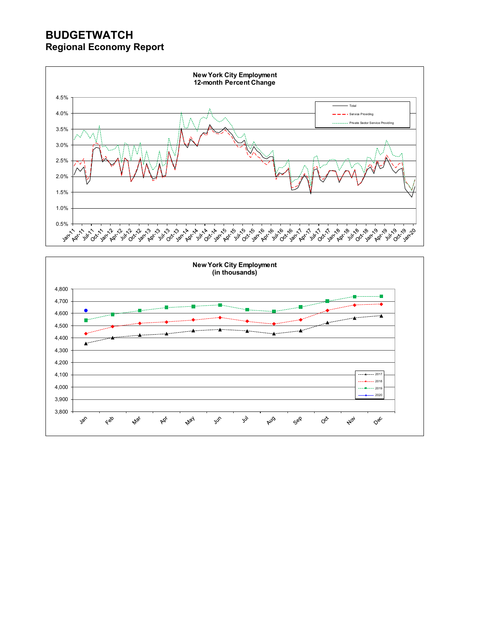

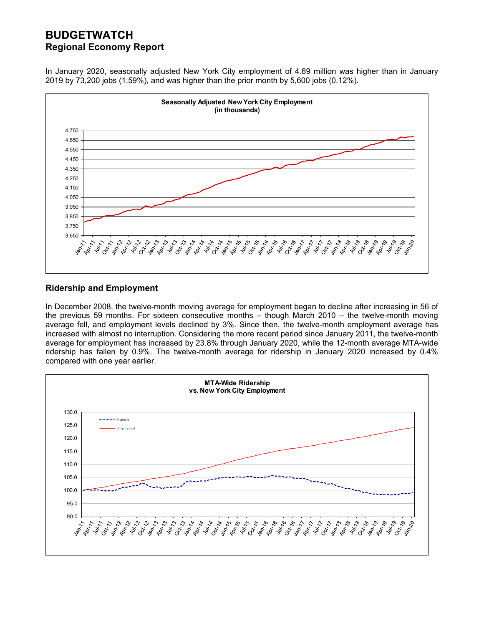In January 2020, seasonally adjusted New York City employment of 4.69 million was higher than in January 2019 by 73,200 jobs (1.59%), and was higher than the prior month by 5,600 jobs (0.12%).



## **Ridership and Employment**

In December 2008, the twelve-month moving average for employment began to decline after increasing in 56 of the previous 59 months. For sixteen consecutive months – though March 2010 – the twelve-month moving average fell, and employment levels declined by 3%. Since then, the twelve-month employment average has increased with almost no interruption. Considering the more recent period since January 2011, the twelve-month average for employment has increased by 23.8% through January 2020, while the 12-month average MTA-wide ridership has fallen by 0.9%. The twelve-month average for ridership in January 2020 increased by 0.4% compared with one year earlier.

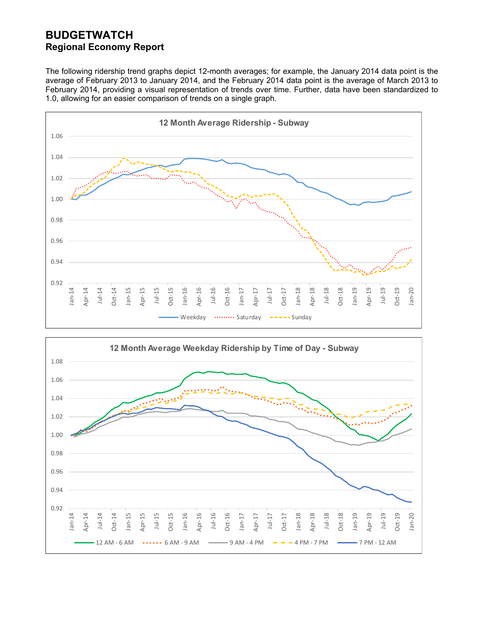The following ridership trend graphs depict 12-month averages; for example, the January 2014 data point is the average of February 2013 to January 2014, and the February 2014 data point is the average of March 2013 to February 2014, providing a visual representation of trends over time. Further, data have been standardized to 1.0, allowing for an easier comparison of trends on a single graph.



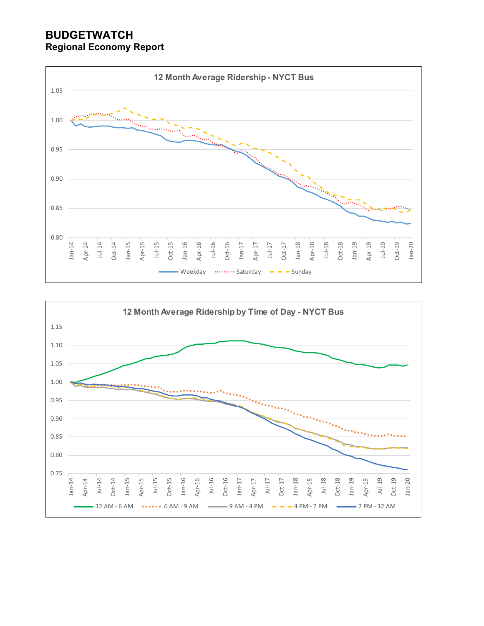

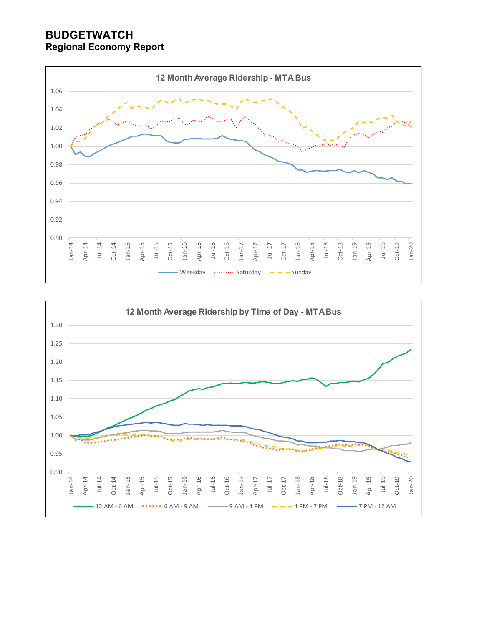

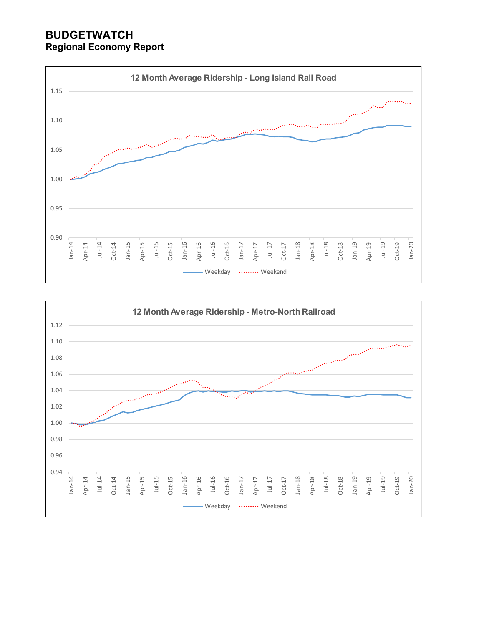

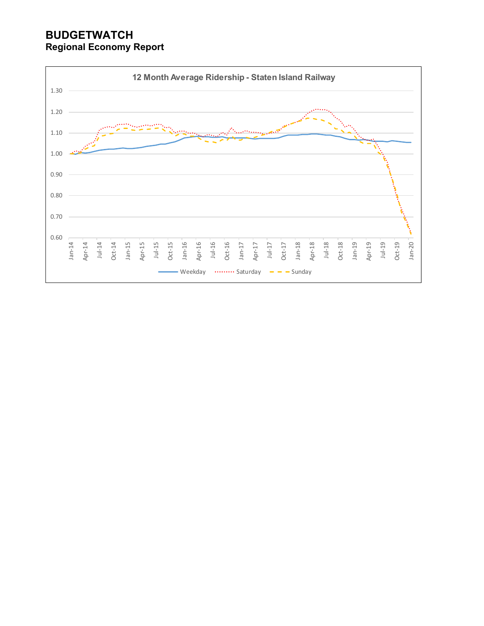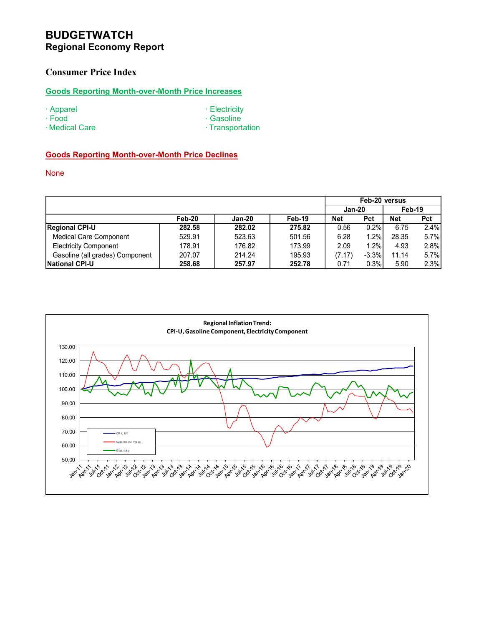## **Consumer Price Index**

## **Goods Reporting Month-over-Month Price Increases**

- 
- 
- ∙ Apparel ∙ Electricity
- 
- ∙ Food ∙ Gasoline ∙ Medical Care ∙ Transportation
- 

#### **Goods Reporting Month-over-Month Price Declines**

None

|                                 |        |        |        | Feb-20 versus |            |        |            |  |  |
|---------------------------------|--------|--------|--------|---------------|------------|--------|------------|--|--|
|                                 |        |        |        | $Jan-20$      |            | Feb-19 |            |  |  |
|                                 | Feb-20 | Jan-20 | Feb-19 | <b>Net</b>    | <b>Pct</b> | Net    | <b>Pct</b> |  |  |
| <b>Regional CPI-U</b>           | 282.58 | 282.02 | 275.82 | 0.56          | 0.2%       | 6.75   | 2.4%       |  |  |
| <b>Medical Care Component</b>   | 529.91 | 523.63 | 501.56 | 6.28          | 1.2%       | 28.35  | 5.7%       |  |  |
| <b>Electricity Component</b>    | 178.91 | 176.82 | 173.99 | 2.09          | 1.2%       | 4.93   | 2.8%       |  |  |
| Gasoline (all grades) Component | 207.07 | 214.24 | 195.93 | (7.17)        | $-3.3%$    | 11.14  | 5.7%       |  |  |
| <b>National CPI-U</b>           | 258.68 | 257.97 | 252.78 | 0.71          | 0.3%       | 5.90   | 2.3%       |  |  |

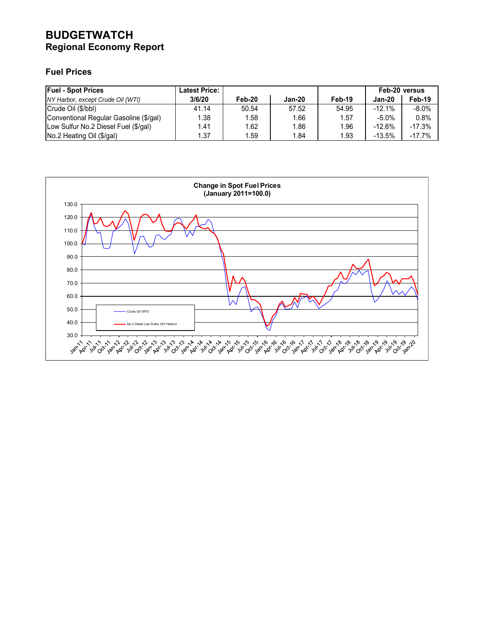## **Fuel Prices**

| <b>Fuel - Spot Prices</b>              | <b>Latest Price:</b> |        |        |        | Feb-20 versus |          |  |
|----------------------------------------|----------------------|--------|--------|--------|---------------|----------|--|
| NY Harbor, except Crude Oil (WTI)      | 3/6/20               | Feb-20 | Jan-20 | Feb-19 | Jan-20        | Feb-19   |  |
| Crude Oil (\$/bbl)                     | 41.14                | 50.54  | 57.52  | 54.95  | $-12.1%$      | $-8.0\%$ |  |
| Conventional Regular Gasoline (\$/gal) | 1.38                 | 1.58   | 1.66   | 1.57   | $-5.0\%$      | 0.8%     |  |
| Low Sulfur No.2 Diesel Fuel (\$/gal)   | 1.41                 | 1.62   | 1.86   | 1.96   | $-12.6\%$     | $-17.3%$ |  |
| No.2 Heating Oil (\$/gal)              | 1.37                 | 1.59   | 1.84   | 1.93   | $-13.5%$      | $-17.7%$ |  |

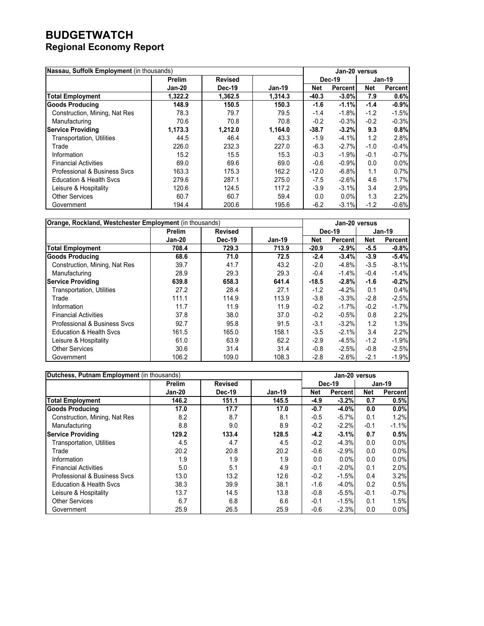| Nassau, Suffolk Employment (in thousands) |               |                |         |         | Jan-20 versus  |            |                |  |
|-------------------------------------------|---------------|----------------|---------|---------|----------------|------------|----------------|--|
|                                           | <b>Prelim</b> | <b>Revised</b> |         | Dec-19  |                | Jan-19     |                |  |
|                                           | Jan-20        | Dec-19         | Jan-19  | Net     | <b>Percent</b> | <b>Net</b> | <b>Percent</b> |  |
| <b>Total Employment</b>                   | 1,322.2       | 1,362.5        | 1.314.3 | $-40.3$ | $-3.0\%$       | 7.9        | 0.6%           |  |
| <b>Goods Producing</b>                    | 148.9         | 150.5          | 150.3   | $-1.6$  | $-1.1%$        | $-1.4$     | $-0.9%$        |  |
| Construction, Mining, Nat Res             | 78.3          | 79.7           | 79.5    | $-1.4$  | $-1.8%$        | $-1.2$     | $-1.5%$        |  |
| Manufacturing                             | 70.6          | 70.8           | 70.8    | $-0.2$  | $-0.3%$        | $-0.2$     | $-0.3%$        |  |
| <b>Service Providing</b>                  | 1,173.3       | 1,212.0        | 1,164.0 | $-38.7$ | $-3.2%$        | 9.3        | 0.8%           |  |
| <b>Transportation, Utilities</b>          | 44.5          | 46.4           | 43.3    | $-1.9$  | $-4.1%$        | 1.2        | 2.8%           |  |
| Trade                                     | 226.0         | 232.3          | 227.0   | $-6.3$  | $-2.7%$        | $-1.0$     | $-0.4%$        |  |
| Information                               | 15.2          | 15.5           | 15.3    | $-0.3$  | $-1.9%$        | $-0.1$     | $-0.7%$        |  |
| <b>Financial Activities</b>               | 69.0          | 69.6           | 69.0    | $-0.6$  | $-0.9%$        | 0.0        | $0.0\%$        |  |
| Professional & Business Sycs              | 163.3         | 175.3          | 162.2   | $-12.0$ | $-6.8%$        | 1.1        | 0.7%           |  |
| <b>Education &amp; Health Sycs</b>        | 279.6         | 287.1          | 275.0   | $-7.5$  | $-2.6%$        | 4.6        | 1.7%           |  |
| Leisure & Hospitality                     | 120.6         | 124.5          | 117.2   | $-3.9$  | $-3.1%$        | 3.4        | 2.9%           |  |
| <b>Other Services</b>                     | 60.7          | 60.7           | 59.4    | 0.0     | 0.0%           | 1.3        | 2.2%           |  |
| Government                                | 194.4         | 200.6          | 195.6   | $-6.2$  | $-3.1%$        | $-1.2$     | $-0.6%$        |  |

| Orange, Rockland, Westchester Employment (in thousands) |               |                |        |               | Jan-20 versus |        |                |  |
|---------------------------------------------------------|---------------|----------------|--------|---------------|---------------|--------|----------------|--|
|                                                         | <b>Prelim</b> | <b>Revised</b> |        | <b>Dec-19</b> |               | Jan-19 |                |  |
|                                                         | Jan-20        | <b>Dec-19</b>  | Jan-19 | Net           | Percent       | Net    | <b>Percent</b> |  |
| <b>Total Employment</b>                                 | 708.4         | 729.3          | 713.9  | $-20.9$       | $-2.9%$       | $-5.5$ | $-0.8%$        |  |
| <b>Goods Producing</b>                                  | 68.6          | 71.0           | 72.5   | $-2.4$        | $-3.4%$       | $-3.9$ | $-5.4%$        |  |
| Construction, Mining, Nat Res                           | 39.7          | 41.7           | 43.2   | $-2.0$        | $-4.8%$       | $-3.5$ | $-8.1%$        |  |
| Manufacturing                                           | 28.9          | 29.3           | 29.3   | $-0.4$        | $-1.4%$       | $-0.4$ | $-1.4%$        |  |
| <b>Service Providing</b>                                | 639.8         | 658.3          | 641.4  | $-18.5$       | $-2.8%$       | $-1.6$ | $-0.2%$        |  |
| <b>Transportation, Utilities</b>                        | 27.2          | 28.4           | 27.1   | $-1.2$        | $-4.2%$       | 0.1    | 0.4%           |  |
| Trade                                                   | 111.1         | 114.9          | 113.9  | $-3.8$        | $-3.3%$       | $-2.8$ | $-2.5%$        |  |
| Information                                             | 11.7          | 11.9           | 11.9   | $-0.2$        | $-1.7%$       | $-0.2$ | $-1.7%$        |  |
| <b>Financial Activities</b>                             | 37.8          | 38.0           | 37.0   | $-0.2$        | $-0.5%$       | 0.8    | 2.2%           |  |
| Professional & Business Sycs                            | 92.7          | 95.8           | 91.5   | $-3.1$        | $-3.2%$       | 1.2    | 1.3%           |  |
| <b>Education &amp; Health Svcs</b>                      | 161.5         | 165.0          | 158.1  | $-3.5$        | $-2.1%$       | 3.4    | 2.2%           |  |
| Leisure & Hospitality                                   | 61.0          | 63.9           | 62.2   | $-2.9$        | $-4.5%$       | $-1.2$ | $-1.9%$        |  |
| <b>Other Services</b>                                   | 30.6          | 31.4           | 31.4   | $-0.8$        | $-2.5%$       | $-0.8$ | $-2.5%$        |  |
| Government                                              | 106.2         | 109.0          | 108.3  | $-2.8$        | $-2.6%$       | $-2.1$ | $-1.9%$        |  |

| Dutchess, Putnam Employment (in thousands) |               |                |          |            | Jan-20 versus  |          |                |  |
|--------------------------------------------|---------------|----------------|----------|------------|----------------|----------|----------------|--|
|                                            | <b>Prelim</b> | <b>Revised</b> |          | Dec-19     |                | $Jan-19$ |                |  |
|                                            | <b>Jan-20</b> | Dec-19         | $Jan-19$ | <b>Net</b> | <b>Percent</b> | Net      | <b>Percent</b> |  |
| <b>Total Employment</b>                    | 146.2         | 151.1          | 145.5    | $-4.9$     | $-3.2%$        | 0.7      | 0.5%           |  |
| <b>Goods Producing</b>                     | 17.0          | 17.7           | 17.0     | $-0.7$     | $-4.0%$        | 0.0      | 0.0%           |  |
| Construction, Mining, Nat Res              | 8.2           | 8.7            | 8.1      | $-0.5$     | $-5.7%$        | 0.1      | 1.2%           |  |
| Manufacturing                              | 8.8           | 9.0            | 8.9      | $-0.2$     | $-2.2%$        | $-0.1$   | $-1.1%$        |  |
| <b>Service Providing</b>                   | 129.2         | 133.4          | 128.5    | $-4.2$     | $-3.1%$        | 0.7      | 0.5%           |  |
| <b>Transportation, Utilities</b>           | 4.5           | 4.7            | 4.5      | $-0.2$     | $-4.3%$        | 0.0      | 0.0%           |  |
| Trade                                      | 20.2          | 20.8           | 20.2     | $-0.6$     | $-2.9%$        | 0.0      | $0.0\%$        |  |
| Information                                | 1.9           | 1.9            | 1.9      | 0.0        | $0.0\%$        | 0.0      | $0.0\%$        |  |
| <b>Financial Activities</b>                | 5.0           | 5.1            | 4.9      | $-0.1$     | $-2.0%$        | 0.1      | 2.0%           |  |
| Professional & Business Sycs               | 13.0          | 13.2           | 12.6     | $-0.2$     | $-1.5%$        | 0.4      | 3.2%           |  |
| <b>Education &amp; Health Sycs</b>         | 38.3          | 39.9           | 38.1     | $-1.6$     | $-4.0%$        | 0.2      | 0.5%           |  |
| Leisure & Hospitality                      | 13.7          | 14.5           | 13.8     | $-0.8$     | $-5.5%$        | $-0.1$   | $-0.7%$        |  |
| <b>Other Services</b>                      | 6.7           | 6.8            | 6.6      | $-0.1$     | $-1.5%$        | 0.1      | 1.5%           |  |
| Government                                 | 25.9          | 26.5           | 25.9     | $-0.6$     | $-2.3%$        | 0.0      | 0.0%           |  |